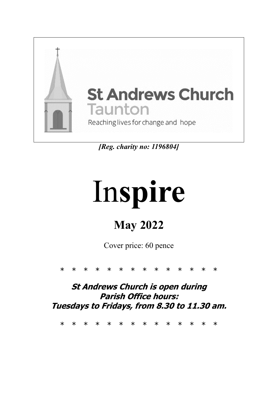

*[Reg. charity no: 1196804]*

# In**spire**

# **May 2022**

Cover price: 60 pence

\* \* \* \* \* \* \* \* \* \* \* \* \* \*

**St Andrews Church is open during Parish Office hours: Tuesdays to Fridays, from 8.30 to 11.30 am.**

\* \* \* \* \* \* \* \* \* \* \* \* \* \*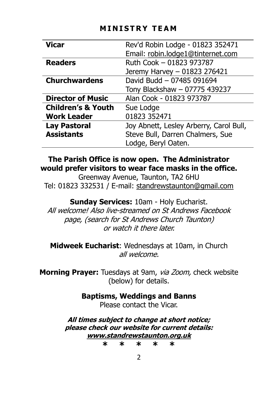#### **M I N I S T R Y T E A M**

| <b>Vicar</b>                  | Rev'd Robin Lodge - 01823 352471        |  |
|-------------------------------|-----------------------------------------|--|
|                               | Email: robin.lodge1@tinternet.com       |  |
| <b>Readers</b>                | Ruth Cook - 01823 973787                |  |
|                               | Jeremy Harvey - 01823 276421            |  |
| <b>Churchwardens</b>          | David Budd - 07485 091694               |  |
|                               | Tony Blackshaw - 07775 439237           |  |
| <b>Director of Music</b>      | Alan Cook - 01823 973787                |  |
| <b>Children's &amp; Youth</b> | Sue Lodge                               |  |
| <b>Work Leader</b>            | 01823 352471                            |  |
| <b>Lay Pastoral</b>           | Joy Abnett, Lesley Arberry, Carol Bull, |  |
| <b>Assistants</b>             | Steve Bull, Darren Chalmers, Sue        |  |
|                               | Lodge, Beryl Oaten.                     |  |

#### **The Parish Office is now open. The Administrator would prefer visitors to wear face masks in the office.**

Greenway Avenue, Taunton, TA2 6HU Tel: 01823 332531 / E-mail: [standrewstaunton@gmail.com](mailto:standrewstaunton@gmail.com)

**Sunday Services:** 10am - Holy Eucharist. All welcome! Also live-streamed on St Andrews Facebook page, (search for St Andrews Church Taunton) or watch it there later.

**Midweek Eucharist**: Wednesdays at 10am, in Church all welcome.

Morning Prayer: Tuesdays at 9am, via Zoom, check website (below) for details.

> **Baptisms, Weddings and Banns** Please contact the Vicar.

**All times subject to change at short notice; please check our website for current details: [www.standrewstaunton.org.uk](http://www.standrewstaunton.org.uk/) \* \* \* \* \***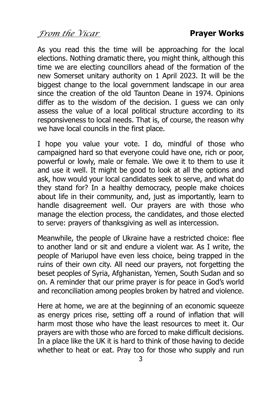*From the Vicar* **Prayer Works** 

As you read this the time will be approaching for the local elections. Nothing dramatic there, you might think, although this time we are electing councillors ahead of the formation of the new Somerset unitary authority on 1 April 2023. It will be the biggest change to the local government landscape in our area since the creation of the old Taunton Deane in 1974. Opinions differ as to the wisdom of the decision. I guess we can only assess the value of a local political structure according to its responsiveness to local needs. That is, of course, the reason why we have local councils in the first place.

I hope you value your vote. I do, mindful of those who campaigned hard so that everyone could have one, rich or poor, powerful or lowly, male or female. We owe it to them to use it and use it well. It might be good to look at all the options and ask, how would your local candidates seek to serve, and what do they stand for? In a healthy democracy, people make choices about life in their community, and, just as importantly, learn to handle disagreement well. Our prayers are with those who manage the election process, the candidates, and those elected to serve: prayers of thanksgiving as well as intercession.

Meanwhile, the people of Ukraine have a restricted choice: flee to another land or sit and endure a violent war. As I write, the people of Mariupol have even less choice, being trapped in the ruins of their own city. All need our prayers, not forgetting the beset peoples of Syria, Afghanistan, Yemen, South Sudan and so on. A reminder that our prime prayer is for peace in God's world and reconciliation among peoples broken by hatred and violence.

Here at home, we are at the beginning of an economic squeeze as energy prices rise, setting off a round of inflation that will harm most those who have the least resources to meet it. Our prayers are with those who are forced to make difficult decisions. In a place like the UK it is hard to think of those having to decide whether to heat or eat. Pray too for those who supply and run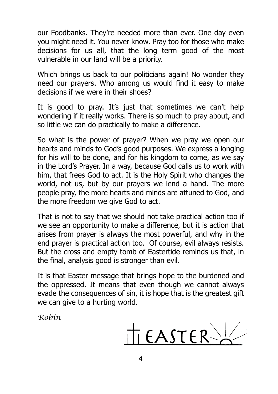our Foodbanks. They're needed more than ever. One day even you might need it. You never know. Pray too for those who make decisions for us all, that the long term good of the most vulnerable in our land will be a priority.

Which brings us back to our politicians again! No wonder they need our prayers. Who among us would find it easy to make decisions if we were in their shoes?

It is good to pray. It's just that sometimes we can't help wondering if it really works. There is so much to pray about, and so little we can do practically to make a difference.

So what is the power of prayer? When we pray we open our hearts and minds to God's good purposes. We express a longing for his will to be done, and for his kingdom to come, as we say in the Lord's Prayer. In a way, because God calls us to work with him, that frees God to act. It is the Holy Spirit who changes the world, not us, but by our prayers we lend a hand. The more people pray, the more hearts and minds are attuned to God, and the more freedom we give God to act.

That is not to say that we should not take practical action too if we see an opportunity to make a difference, but it is action that arises from prayer is always the most powerful, and why in the end prayer is practical action too. Of course, evil always resists. But the cross and empty tomb of Eastertide reminds us that, in the final, analysis good is stronger than evil.

It is that Easter message that brings hope to the burdened and the oppressed. It means that even though we cannot always evade the consequences of sin, it is hope that is the greatest gift we can give to a hurting world.

*Robin*

 $H$  EASTER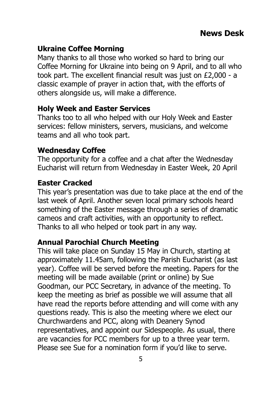#### **Ukraine Coffee Morning**

Many thanks to all those who worked so hard to bring our Coffee Morning for Ukraine into being on 9 April, and to all who took part. The excellent financial result was just on £2,000 - a classic example of prayer in action that, with the efforts of others alongside us, will make a difference.

#### **Holy Week and Easter Services**

Thanks too to all who helped with our Holy Week and Easter services: fellow ministers, servers, musicians, and welcome teams and all who took part.

#### **Wednesday Coffee**

The opportunity for a coffee and a chat after the Wednesday Eucharist will return from Wednesday in Easter Week, 20 April

#### **Easter Cracked**

This year's presentation was due to take place at the end of the last week of April. Another seven local primary schools heard something of the Easter message through a series of dramatic cameos and craft activities, with an opportunity to reflect. Thanks to all who helped or took part in any way.

#### **Annual Parochial Church Meeting**

This will take place on Sunday 15 May in Church, starting at approximately 11.45am, following the Parish Eucharist (as last year). Coffee will be served before the meeting. Papers for the meeting will be made available (print or online) by Sue Goodman, our PCC Secretary, in advance of the meeting. To keep the meeting as brief as possible we will assume that all have read the reports before attending and will come with any questions ready. This is also the meeting where we elect our Churchwardens and PCC, along with Deanery Synod representatives, and appoint our Sidespeople. As usual, there are vacancies for PCC members for up to a three year term. Please see Sue for a nomination form if you'd like to serve.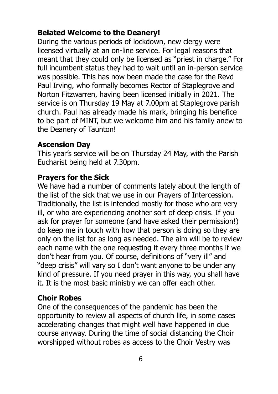#### **Belated Welcome to the Deanery!**

During the various periods of lockdown, new clergy were licensed virtually at an on-line service. For legal reasons that meant that they could only be licensed as "priest in charge." For full incumbent status they had to wait until an in-person service was possible. This has now been made the case for the Revd Paul Irving, who formally becomes Rector of Staplegrove and Norton Fitzwarren, having been licensed initially in 2021. The service is on Thursday 19 May at 7.00pm at Staplegrove parish church. Paul has already made his mark, bringing his benefice to be part of MINT, but we welcome him and his family anew to the Deanery of Taunton!

#### **Ascension Day**

This year's service will be on Thursday 24 May, with the Parish Eucharist being held at 7.30pm.

#### **Prayers for the Sick**

We have had a number of comments lately about the length of the list of the sick that we use in our Prayers of Intercession. Traditionally, the list is intended mostly for those who are very ill, or who are experiencing another sort of deep crisis. If you ask for prayer for someone (and have asked their permission!) do keep me in touch with how that person is doing so they are only on the list for as long as needed. The aim will be to review each name with the one requesting it every three months if we don't hear from you. Of course, definitions of "very ill" and "deep crisis" will vary so I don't want anyone to be under any kind of pressure. If you need prayer in this way, you shall have it. It is the most basic ministry we can offer each other.

#### **Choir Robes**

One of the consequences of the pandemic has been the opportunity to review all aspects of church life, in some cases accelerating changes that might well have happened in due course anyway. During the time of social distancing the Choir worshipped without robes as access to the Choir Vestry was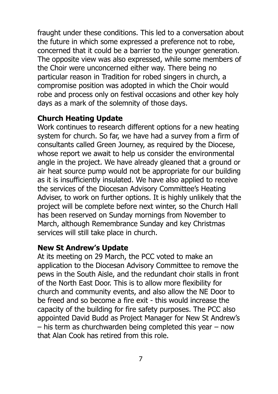fraught under these conditions. This led to a conversation about the future in which some expressed a preference not to robe, concerned that it could be a barrier to the younger generation. The opposite view was also expressed, while some members of the Choir were unconcerned either way. There being no particular reason in Tradition for robed singers in church, a compromise position was adopted in which the Choir would robe and process only on festival occasions and other key holy days as a mark of the solemnity of those days.

#### **Church Heating Update**

Work continues to research different options for a new heating system for church. So far, we have had a survey from a firm of consultants called Green Journey, as required by the Diocese, whose report we await to help us consider the environmental angle in the project. We have already gleaned that a ground or air heat source pump would not be appropriate for our building as it is insufficiently insulated. We have also applied to receive the services of the Diocesan Advisory Committee's Heating Adviser, to work on further options. It is highly unlikely that the project will be complete before next winter, so the Church Hall has been reserved on Sunday mornings from November to March, although Remembrance Sunday and key Christmas services will still take place in church.

#### **New St Andrew's Update**

At its meeting on 29 March, the PCC voted to make an application to the Diocesan Advisory Committee to remove the pews in the South Aisle, and the redundant choir stalls in front of the North East Door. This is to allow more flexibility for church and community events, and also allow the NE Door to be freed and so become a fire exit - this would increase the capacity of the building for fire safety purposes. The PCC also appointed David Budd as Project Manager for New St Andrew's – his term as churchwarden being completed this year – now that Alan Cook has retired from this role.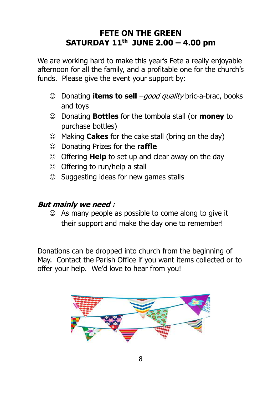#### **FETE ON THE GREEN SATURDAY 11th JUNE 2.00 – 4.00 pm**

We are working hard to make this year's Fete a really enjoyable afternoon for all the family, and a profitable one for the church's funds. Please give the event your support by:

- ☺ Donating **items to sell** –good quality bric-a-brac, books and toys
- ☺ Donating **Bottles** for the tombola stall (or **money** to purchase bottles)
- ☺ Making **Cakes** for the cake stall (bring on the day)
- ☺ Donating Prizes for the **raffle**
- ☺ Offering **Help** to set up and clear away on the day
- ☺ Offering to run/help a stall
- ☺ Suggesting ideas for new games stalls

#### **But mainly we need :**

☺ As many people as possible to come along to give it their support and make the day one to remember!

Donations can be dropped into church from the beginning of May. Contact the Parish Office if you want items collected or to offer your help. We'd love to hear from you!

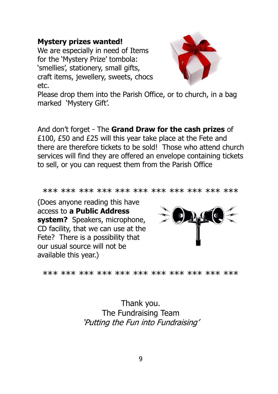#### **Mystery prizes wanted!**

We are especially in need of Items for the 'Mystery Prize' tombola: 'smellies', stationery, small gifts, craft items, jewellery, sweets, chocs etc.



Please drop them into the Parish Office, or to church, in a bag marked 'Mystery Gift'.

And don't forget - The **Grand Draw for the cash prizes** of £100, £50 and £25 will this year take place at the Fete and there are therefore tickets to be sold! Those who attend church services will find they are offered an envelope containing tickets to sell, or you can request them from the Parish Office

\*\*\* \*\*\* \*\*\* \*\*\* \*\*\* \*\*\* \*\*\* \*\*\* \*\*\* \*\*\* \*\*\*

(Does anyone reading this have access to **a Public Address system?** Speakers, microphone, CD facility, that we can use at the Fete? There is a possibility that our usual source will not be available this year.)



\*\*\* \*\*\* \*\*\* \*\*\* \*\*\* \*\*\* \*\*\* \*\*\* \*\*\* \*\*\* \*\*\*

Thank you. The Fundraising Team 'Putting the Fun into Fundraising'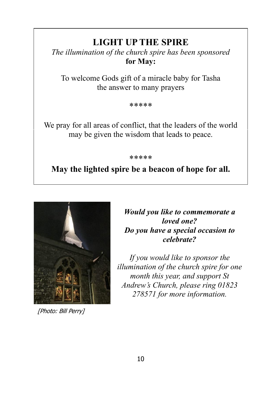#### **LIGHT UP THE SPIRE**

*The illumination of the church spire has been sponsored* **for May:**

To welcome Gods gift of a miracle baby for Tasha the answer to many prayers

\*\*\*\*\*

We pray for all areas of conflict, that the leaders of the world may be given the wisdom that leads to peace.

\*\*\*\*\*

#### **May the lighted spire be a beacon of hope for all.**



[Photo: Bill Perry]

*Would you like to commemorate a loved one? Do you have a special occasion to celebrate?*

*If you would like to sponsor the illumination of the church spire for one month this year, and support St Andrew's Church, please ring 01823 278571 for more information.*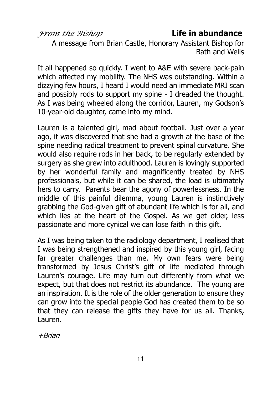#### *From the Bishop* **Life in abundance**

A message from Brian Castle, Honorary Assistant Bishop for Bath and Wells

It all happened so quickly. I went to A&E with severe back-pain which affected my mobility. The NHS was outstanding. Within a dizzying few hours, I heard I would need an immediate MRI scan and possibly rods to support my spine - I dreaded the thought. As I was being wheeled along the corridor, Lauren, my Godson's 10-year-old daughter, came into my mind.

Lauren is a talented girl, mad about football. Just over a year ago, it was discovered that she had a growth at the base of the spine needing radical treatment to prevent spinal curvature. She would also require rods in her back, to be regularly extended by surgery as she grew into adulthood. Lauren is lovingly supported by her wonderful family and magnificently treated by NHS professionals, but while it can be shared, the load is ultimately hers to carry. Parents bear the agony of powerlessness. In the middle of this painful dilemma, young Lauren is instinctively grabbing the God-given gift of abundant life which is for all, and which lies at the heart of the Gospel. As we get older, less passionate and more cynical we can lose faith in this gift.

As I was being taken to the radiology department, I realised that I was being strengthened and inspired by this young girl, facing far greater challenges than me. My own fears were being transformed by Jesus Christ's gift of life mediated through Lauren's courage. Life may turn out differently from what we expect, but that does not restrict its abundance. The young are an inspiration. It is the role of the older generation to ensure they can grow into the special people God has created them to be so that they can release the gifts they have for us all. Thanks, Lauren.

+Brian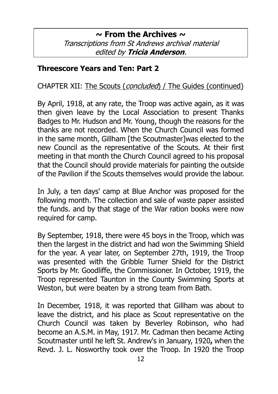#### **~ From the Archives ~** Transcriptions from St Andrews archival material edited by **Tricia Anderson**.

#### **Threescore Years and Ten: Part 2**

CHAPTER XII: The Scouts (concluded) / The Guides (continued)

By April, 1918, at any rate, the Troop was active again, as it was then given leave by the Local Association to present Thanks Badges to Mr. Hudson and Mr. Young, though the reasons for the thanks are not recorded. When the Church Council was formed in the same month, Gillham [the Scoutmaster]was elected to the new Council as the representative of the Scouts. At their first meeting in that month the Church Council agreed to his proposal that the Council should provide materials for painting the outside of the Pavilion if the Scouts themselves would provide the labour.

In July, a ten days' camp at Blue Anchor was proposed for the following month. The collection and sale of waste paper assisted the funds. and by that stage of the War ration books were now required for camp.

By September, 1918, there were 45 boys in the Troop, which was then the largest in the district and had won the Swimming Shield for the year. A year later, on September 27th, 1919, the Troop was presented with the Gribble Turner Shield for the District Sports by Mr. Goodliffe, the Commissioner. In October, 1919, the Troop represented Taunton in the County Swimming Sports at Weston, but were beaten by a strong team from Bath.

In December, 1918, it was reported that Gillham was about to leave the district, and his place as Scout representative on the Church Council was taken by Beverley Robinson, who had become an A.S.M. in May, 1917. Mr. Cadman then became Acting Scoutmaster until he left St. Andrew's in January, 1920**,** when the Revd. J. L. Nosworthy took over the Troop. In 1920 the Troop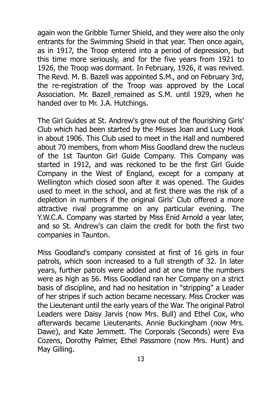again won the Gribble Turner Shield, and they were also the only entrants for the Swimming Shield in that year. Then once again, as in 1917, the Troop entered into a period of depression, but this time more seriously, and for the five years from 1921 to 1926, the Troop was dormant. In February, 1926, it was revived. The Revd. M. B. Bazell was appointed S.M., and on February 3rd, the re-registration of the Troop was approved by the Local Association. Mr. Bazell remained as S.M. until 1929, when he handed over to Mr. J.A. Hutchings.

The Girl Guides at St. Andrew's grew out of the flourishing Girls' Club which had been started by the Misses Joan and Lucy Hook in about 1906. This Club used to meet in the Hall and numbered about 70 members, from whom Miss Goodland drew the nucleus of the 1st Taunton Girl Guide Company. This Company was started in 1912, and was reckoned to be the first Girl Guide Company in the West of England, except for a company at Wellington which closed soon after it was opened. The Guides used to meet in the school, and at first there was the risk of a depletion in numbers if the original Girls' Club offered a more attractive rival programme on any particular evening. The Y.W.C.A. Company was started by Miss Enid Arnold a year later, and so St. Andrew's can claim the credit for both the first two companies in Taunton.

Miss Goodland's company consisted at first of 16 girls in four patrols, which soon increased to a full strength of 32. In later years, further patrols were added and at one time the numbers were as high as 56. Miss Goodland ran her Company on a strict basis of discipline, and had no hesitation in "stripping" a Leader of her stripes if such action became necessary. Miss Crocker was the Lieutenant until the early years of the War. The original Patrol Leaders were Daisy Jarvis (now Mrs. Bull) and Ethel Cox, who afterwards became Lieutenants. Annie Buckingham (now Mrs. Dawe), and Kate Jemmett. The Corporals (Seconds) were Eva Cozens, Dorothy Palmer, Ethel Passmore (now Mrs. Hunt) and May Gilling.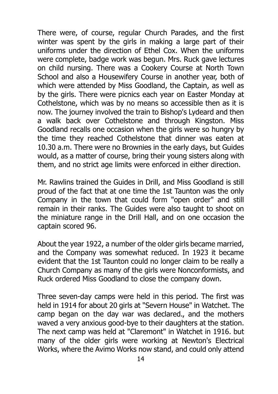There were, of course, regular Church Parades, and the first winter was spent by the girls in making a large part of their uniforms under the direction of Ethel Cox. When the uniforms were complete, badge work was begun. Mrs. Ruck gave lectures on child nursing. There was a Cookery Course at North Town School and also a Housewifery Course in another year, both of which were attended by Miss Goodland, the Captain, as well as by the girls. There were picnics each year on Easter Monday at Cothelstone, which was by no means so accessible then as it is now. The journey involved the train to Bishop's Lydeard and then a walk back over Cothelstone and through Kingston. Miss Goodland recalls one occasion when the girls were so hungry by the time they reached Cothelstone that dinner was eaten at 10.30 a.m. There were no Brownies in the early days, but Guides would, as a matter of course, bring their young sisters along with them, and no strict age limits were enforced in either direction.

Mr. Rawlins trained the Guides in Drill, and Miss Goodland is still proud of the fact that at one time the 1st Taunton was the only Company in the town that could form "open order" and still remain in their ranks. The Guides were also taught to shoot on the miniature range in the Drill Hall, and on one occasion the captain scored 96.

About the year 1922, a number of the older girls became married, and the Company was somewhat reduced. In 1923 it became evident that the 1st Taunton could no longer claim to be really a Church Company as many of the girls were Nonconformists, and Ruck ordered Miss Goodland to close the company down.

Three seven-day camps were held in this period. The first was held in 1914 for about 20 girls at "Severn House" in Watchet. The camp began on the day war was declared., and the mothers waved a very anxious good-bye to their daughters at the station. The next camp was held at "Claremont" in Watchet in 1916. but many of the older girls were working at Newton's Electrical Works, where the Avimo Works now stand, and could only attend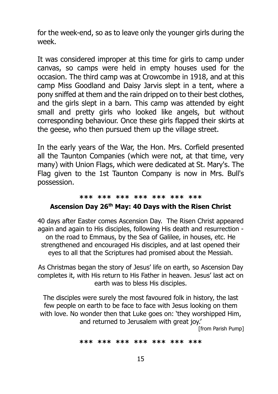for the week-end, so as to leave only the younger girls during the week.

It was considered improper at this time for girls to camp under canvas, so camps were held in empty houses used for the occasion. The third camp was at Crowcombe in 1918, and at this camp Miss Goodland and Daisy Jarvis slept in a tent, where a pony sniffed at them and the rain dripped on to their best clothes, and the girls slept in a barn. This camp was attended by eight small and pretty girls who looked like angels, but without corresponding behaviour. Once these girls flapped their skirts at the geese, who then pursued them up the village street.

In the early years of the War, the Hon. Mrs. Corfield presented all the Taunton Companies (which were not, at that time, very many) with Union Flags, which were dedicated at St. Mary's. The Flag given to the 1st Taunton Company is now in Mrs. Bull's possession.

#### **\*\*\* \*\*\* \*\*\* \*\*\* \*\*\* \*\*\* \*\*\***

#### **Ascension Day 26th May: 40 Days with the Risen Christ**

40 days after Easter comes Ascension Day. The Risen Christ appeared again and again to His disciples, following His death and resurrection on the road to Emmaus, by the Sea of Galilee, in houses, etc. He strengthened and encouraged His disciples, and at last opened their eyes to all that the Scriptures had promised about the Messiah.

As Christmas began the story of Jesus' life on earth, so Ascension Day completes it, with His return to His Father in heaven. Jesus' last act on earth was to bless His disciples.

The disciples were surely the most favoured folk in history, the last few people on earth to be face to face with Jesus looking on them with love. No wonder then that Luke goes on: 'they worshipped Him, and returned to Jerusalem with great joy.' [from Parish Pump]

**\*\*\* \*\*\* \*\*\* \*\*\* \*\*\* \*\*\* \*\*\***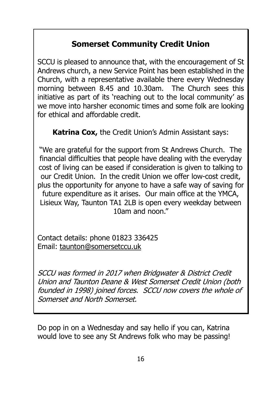### **Somerset Community Credit Union**

SCCU is pleased to announce that, with the encouragement of St Andrews church, a new Service Point has been established in the Church, with a representative available there every Wednesday morning between 8.45 and 10.30am. The Church sees this initiative as part of its 'reaching out to the local community' as we move into harsher economic times and some folk are looking for ethical and affordable credit.

**Katrina Cox,** the Credit Union's Admin Assistant says:

"We are grateful for the support from St Andrews Church. The financial difficulties that people have dealing with the everyday cost of living can be eased if consideration is given to talking to our Credit Union. In the credit Union we offer low-cost credit, plus the opportunity for anyone to have a safe way of saving for future expenditure as it arises. Our main office at the YMCA, Lisieux Way, Taunton TA1 2LB is open every weekday between 10am and noon."

Contact details: phone 01823 336425 Email: [taunton@somersetccu.uk](mailto:taunton@somersetccu.uk)

SCCU was formed in 2017 when Bridgwater & District Credit Union and Taunton Deane & West Somerset Credit Union (both founded in 1998) joined forces. SCCU now covers the whole of Somerset and North Somerset.

Do pop in on a Wednesday and say hello if you can, Katrina would love to see any St Andrews folk who may be passing!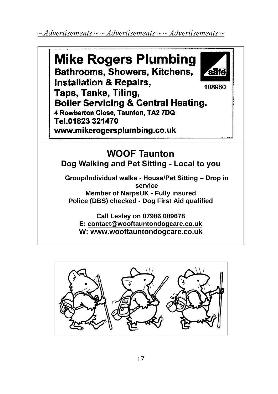*~ Advertisements ~ ~ Advertisements ~ ~ Advertisements ~*



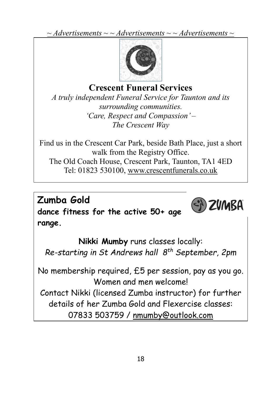*~ Advertisements ~ ~ Advertisements ~ ~ Advertisements ~*



## **Crescent Funeral Services**

*A truly independent Funeral Service for Taunton and its surrounding communities. 'Care, Respect and Compassion' – The Crescent Way*

Find us in the Crescent Car Park, beside Bath Place, just a short walk from the Registry Office. The Old Coach House, Crescent Park, Taunton, TA1 4ED Tel: 01823 530100, [www.crescentfunerals.co.uk](http://www.crescentfunerals.co.uk/)

**Zumba Gold dance fitness for the active 50+ age range.**

**Nikki Mumby** runs classes locally: *Re-starting in St Andrews hall 8th September, 2pm*

(S) ZVMBA

No membership required, £5 per session, pay as you go. Women and men welcome!

Contact Nikki (licensed Zumba instructor) for further details of her Zumba Gold and Flexercise classes: 07833 503759 / [nmumby@outlook.com](mailto:nmumby@outlook.com)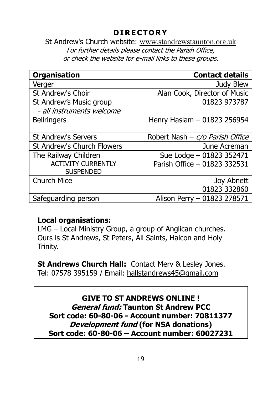#### **D I R E C T O R Y**

St Andrew's Church website: [www.standrewstaunton.org.uk](http://www.standrewstaunton.org.uk/) For further details please contact the Parish Office, or check the website for e-mail links to these groups.

| <b>Organisation</b>        | <b>Contact details</b>            |
|----------------------------|-----------------------------------|
| Verger                     | Judy Blew                         |
| St Andrew's Choir          | Alan Cook, Director of Music      |
| St Andrew's Music group    | 01823 973787                      |
| - all instruments welcome  |                                   |
| <b>Bellringers</b>         | Henry Haslam - 01823 256954       |
|                            |                                   |
| <b>St Andrew's Servers</b> | Robert Nash – $c/o$ Parish Office |
| St Andrew's Church Flowers | June Acreman                      |
| The Railway Children       | Sue Lodge - 01823 352471          |
| <b>ACTIVITY CURRENTLY</b>  | Parish Office - 01823 332531      |
| <b>SUSPENDED</b>           |                                   |
| <b>Church Mice</b>         | Joy Abnett                        |
|                            | 01823 332860                      |
| Safeguarding person        | Alison Perry - 01823 278571       |

#### **Local organisations:**

LMG – Local Ministry Group, a group of Anglican churches. Ours is St Andrews, St Peters, All Saints, Halcon and Holy Trinity.

**St Andrews Church Hall:** Contact Merv & Lesley Jones. Tel: 07578 395159 / Email: [hallstandrews45@gmail.com](mailto:hallstandrews45@gmail.com)

**GIVE TO ST ANDREWS ONLINE ! General fund: Taunton St Andrew PCC Sort code: 60-80-06 - Account number: 70811377 Development fund (for NSA donations) Sort code: 60-80-06 – Account number: 60027231**